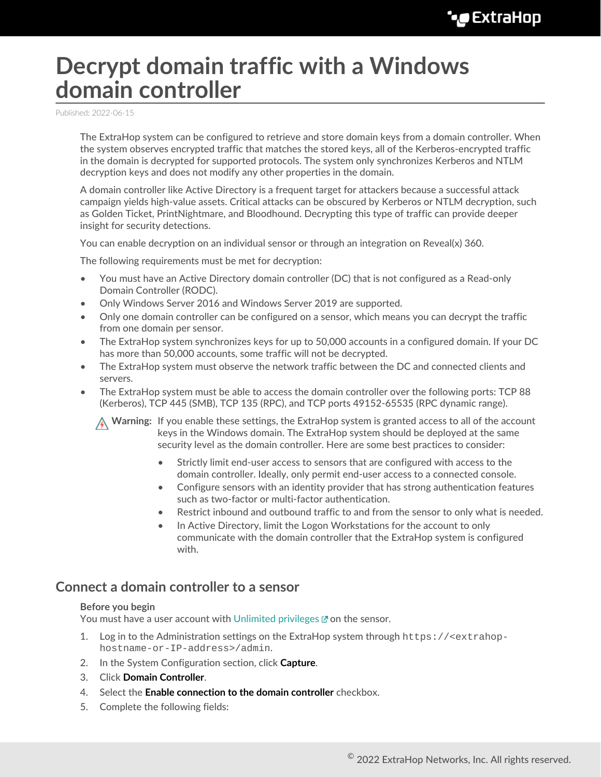# **Decrypt domain traffic with a Windows domain controller**

Published: 2022-06-15

The ExtraHop system can be configured to retrieve and store domain keys from a domain controller. When the system observes encrypted traffic that matches the stored keys, all of the Kerberos-encrypted traffic in the domain is decrypted for supported protocols. The system only synchronizes Kerberos and NTLM decryption keys and does not modify any other properties in the domain.

A domain controller like Active Directory is a frequent target for attackers because a successful attack campaign yields high-value assets. Critical attacks can be obscured by Kerberos or NTLM decryption, such as Golden Ticket, PrintNightmare, and Bloodhound. Decrypting this type of traffic can provide deeper insight for security detections.

You can enable decryption on an individual sensor or through an integration on Reveal(x) 360.

The following requirements must be met for decryption:

- You must have an Active Directory domain controller (DC) that is not configured as a Read-only Domain Controller (RODC).
- Only Windows Server 2016 and Windows Server 2019 are supported.
- Only one domain controller can be configured on a sensor, which means you can decrypt the traffic from one domain per sensor.
- The ExtraHop system synchronizes keys for up to 50,000 accounts in a configured domain. If your DC has more than 50,000 accounts, some traffic will not be decrypted.
- The ExtraHop system must observe the network traffic between the DC and connected clients and servers.
- The ExtraHop system must be able to access the domain controller over the following ports: TCP 88 (Kerberos), TCP 445 (SMB), TCP 135 (RPC), and TCP ports 49152-65535 (RPC dynamic range).

**A** Warning: If you enable these settings, the ExtraHop system is granted access to all of the account keys in the Windows domain. The ExtraHop system should be deployed at the same security level as the domain controller. Here are some best practices to consider:

- Strictly limit end-user access to sensors that are configured with access to the domain controller. Ideally, only permit end-user access to a connected console.
- Configure sensors with an identity provider that has strong authentication features such as two-factor or multi-factor authentication.
- Restrict inbound and outbound traffic to and from the sensor to only what is needed.
- In Active Directory, limit the Logon Workstations for the account to only communicate with the domain controller that the ExtraHop system is configured with.

## **Connect a domain controller to a sensor**

#### **Before you begin**

You must have a user account with [Unlimited privileges](https://docs.extrahop.com/8.9/users-overview/#user-privileges)  $\mathbf{z}$  on the sensor.

- 1. Log in to the Administration settings on the ExtraHop system through https://<extrahophostname-or-IP-address>/admin.
- 2. In the System Configuration section, click **Capture**.
- 3. Click **Domain Controller**.
- 4. Select the **Enable connection to the domain controller** checkbox.
- 5. Complete the following fields: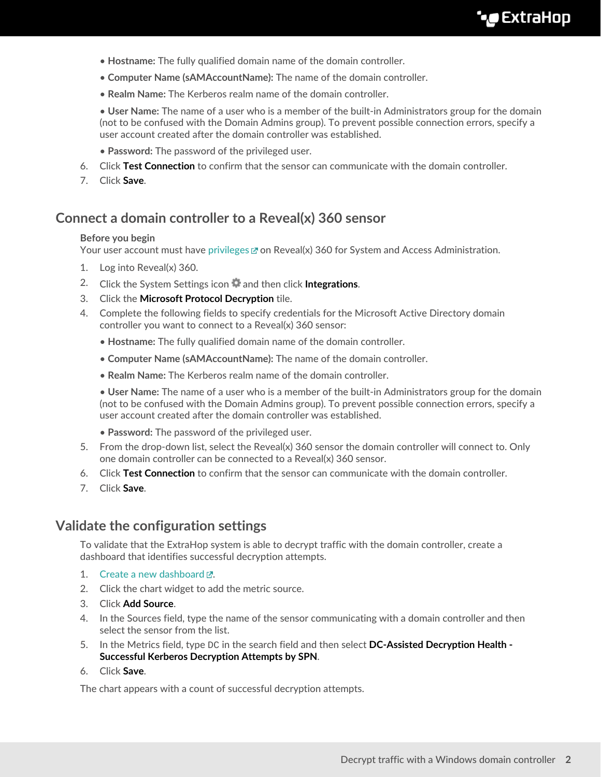- **Hostname:** The fully qualified domain name of the domain controller.
- **Computer Name (sAMAccountName):** The name of the domain controller.
- **Realm Name:** The Kerberos realm name of the domain controller.

• **User Name:** The name of a user who is a member of the built-in Administrators group for the domain (not to be confused with the Domain Admins group). To prevent possible connection errors, specify a user account created after the domain controller was established.

- **Password:** The password of the privileged user.
- 6. Click **Test Connection** to confirm that the sensor can communicate with the domain controller.
- 7. Click **Save**.

## **Connect a domain controller to a Reveal(x) 360 sensor**

#### **Before you begin**

Your user account must have [privileges](https://docs.extrahop.com/8.9/users-overview/#user-privileges)  $\mathbb Z$  on Reveal(x) 360 for System and Access Administration.

- 1. Log into Reveal(x) 360.
- 2. Click the System Settings icon **a** and then click **Integrations**.
- 3. Click the **Microsoft Protocol Decryption** tile.
- 4. Complete the following fields to specify credentials for the Microsoft Active Directory domain controller you want to connect to a Reveal(x) 360 sensor:
	- **Hostname:** The fully qualified domain name of the domain controller.
	- **Computer Name (sAMAccountName):** The name of the domain controller.
	- **Realm Name:** The Kerberos realm name of the domain controller.

• **User Name:** The name of a user who is a member of the built-in Administrators group for the domain (not to be confused with the Domain Admins group). To prevent possible connection errors, specify a user account created after the domain controller was established.

- **Password:** The password of the privileged user.
- 5. From the drop-down list, select the Reveal(x) 360 sensor the domain controller will connect to. Only one domain controller can be connected to a Reveal(x) 360 sensor.
- 6. Click **Test Connection** to confirm that the sensor can communicate with the domain controller.
- 7. Click **Save**.

## **Validate the configuration settings**

To validate that the ExtraHop system is able to decrypt traffic with the domain controller, create a dashboard that identifies successful decryption attempts.

- 1. Create a new dashboard  $\mathbb{Z}$ .
- 2. Click the chart widget to add the metric source.
- 3. Click **Add Source**.
- 4. In the Sources field, type the name of the sensor communicating with a domain controller and then select the sensor from the list.
- 5. In the Metrics field, type DC in the search field and then select **DC-Assisted Decryption Health - Successful Kerberos Decryption Attempts by SPN**.
- 6. Click **Save**.

The chart appears with a count of successful decryption attempts.